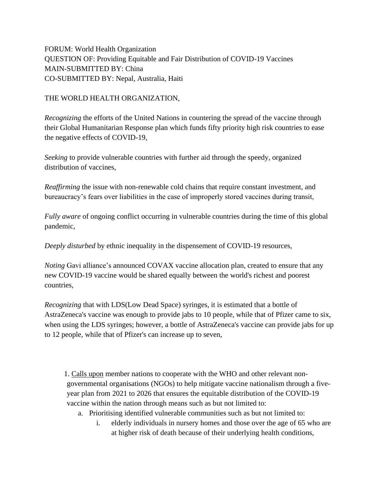FORUM: World Health Organization QUESTION OF: Providing Equitable and Fair Distribution of COVID-19 Vaccines MAIN-SUBMITTED BY: China CO-SUBMITTED BY: Nepal, Australia, Haiti

## THE WORLD HEALTH ORGANIZATION,

*Recognizing* the efforts of the United Nations in countering the spread of the vaccine through their Global Humanitarian Response plan which funds fifty priority high risk countries to ease the negative effects of COVID-19,

*Seeking* to provide vulnerable countries with further aid through the speedy, organized distribution of vaccines,

*Reaffirming* the issue with non-renewable cold chains that require constant investment, and bureaucracy's fears over liabilities in the case of improperly stored vaccines during transit,

*Fully aware* of ongoing conflict occurring in vulnerable countries during the time of this global pandemic,

*Deeply disturbed* by ethnic inequality in the dispensement of COVID-19 resources,

*Noting* Gavi alliance's announced COVAX vaccine allocation plan, created to ensure that any new COVID-19 vaccine would be shared equally between the world's richest and poorest countries,

*Recognizing* that with LDS(Low Dead Space) syringes, it is estimated that a bottle of AstraZeneca's vaccine was enough to provide jabs to 10 people, while that of Pfizer came to six, when using the LDS syringes; however, a bottle of AstraZeneca's vaccine can provide jabs for up to 12 people, while that of Pfizer's can increase up to seven,

1. Calls upon member nations to cooperate with the WHO and other relevant nongovernmental organisations (NGOs) to help mitigate vaccine nationalism through a fiveyear plan from 2021 to 2026 that ensures the equitable distribution of the COVID-19 vaccine within the nation through means such as but not limited to:

- a. Prioritising identified vulnerable communities such as but not limited to:
	- i. elderly individuals in nursery homes and those over the age of 65 who are at higher risk of death because of their underlying health conditions,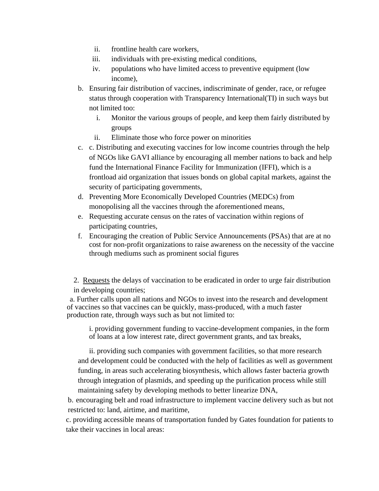- ii. frontline health care workers,
- iii. individuals with pre-existing medical conditions,
- iv. populations who have limited access to preventive equipment (low income),
- b. Ensuring fair distribution of vaccines, indiscriminate of gender, race, or refugee status through cooperation with Transparency International(TI) in such ways but not limited too:
	- i. Monitor the various groups of people, and keep them fairly distributed by groups
	- ii. Eliminate those who force power on minorities
- c. c. Distributing and executing vaccines for low income countries through the help of NGOs like GAVI alliance by encouraging all member nations to back and help fund the International Finance Facility for Immunization (IFFI), which is a frontload aid organization that issues bonds on global capital markets, against the security of participating governments,
- d. Preventing More Economically Developed Countries (MEDCs) from monopolising all the vaccines through the aforementioned means,
- e. Requesting accurate census on the rates of vaccination within regions of participating countries,
- f. Encouraging the creation of Public Service Announcements (PSAs) that are at no cost for non-profit organizations to raise awareness on the necessity of the vaccine through mediums such as prominent social figures

2. Requests the delays of vaccination to be eradicated in order to urge fair distribution in developing countries;

a. Further calls upon all nations and NGOs to invest into the research and development of vaccines so that vaccines can be quickly, mass-produced, with a much faster production rate, through ways such as but not limited to:

i. providing government funding to vaccine-development companies, in the form of loans at a low interest rate, direct government grants, and tax breaks,

ii. providing such companies with government facilities, so that more research and development could be conducted with the help of facilities as well as government funding, in areas such accelerating biosynthesis, which allows faster bacteria growth through integration of plasmids, and speeding up the purification process while still maintaining safety by developing methods to better linearize DNA,

b. encouraging belt and road infrastructure to implement vaccine delivery such as but not restricted to: land, airtime, and maritime,

c. providing accessible means of transportation funded by Gates foundation for patients to take their vaccines in local areas: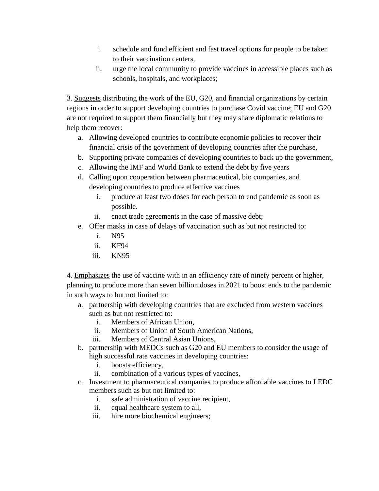- i. schedule and fund efficient and fast travel options for people to be taken to their vaccination centers,
- ii. urge the local community to provide vaccines in accessible places such as schools, hospitals, and workplaces;

3. Suggests distributing the work of the EU, G20, and financial organizations by certain regions in order to support developing countries to purchase Covid vaccine; EU and G20 are not required to support them financially but they may share diplomatic relations to help them recover:

- a. Allowing developed countries to contribute economic policies to recover their financial crisis of the government of developing countries after the purchase,
- b. Supporting private companies of developing countries to back up the government,
- c. Allowing the IMF and World Bank to extend the debt by five years
- d. Calling upon cooperation between pharmaceutical, bio companies, and developing countries to produce effective vaccines
	- i. produce at least two doses for each person to end pandemic as soon as possible.
	- ii. enact trade agreements in the case of massive debt;
- e. Offer masks in case of delays of vaccination such as but not restricted to:
	- i. N95
	- ii. KF94
	- iii. KN95

4. Emphasizes the use of vaccine with in an efficiency rate of ninety percent or higher, planning to produce more than seven billion doses in 2021 to boost ends to the pandemic in such ways to but not limited to:

- a. partnership with developing countries that are excluded from western vaccines such as but not restricted to:
	- i. Members of African Union,
	- ii. Members of Union of South American Nations,
	- iii. Members of Central Asian Unions,
- b. partnership with MEDCs such as G20 and EU members to consider the usage of high successful rate vaccines in developing countries:
	- i. boosts efficiency,
	- ii. combination of a various types of vaccines,
- c. Investment to pharmaceutical companies to produce affordable vaccines to LEDC members such as but not limited to:
	- i. safe administration of vaccine recipient,
	- ii. equal healthcare system to all,
	- iii. hire more biochemical engineers;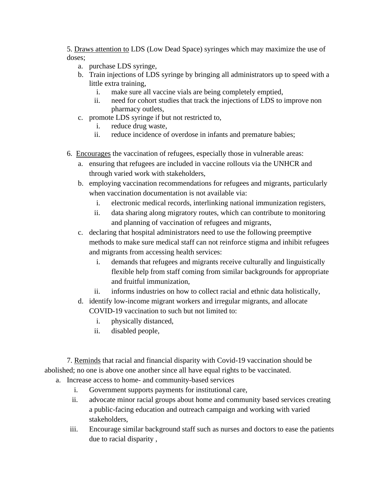5. Draws attention to LDS (Low Dead Space) syringes which may maximize the use of doses;

- a. purchase LDS syringe,
- b. Train injections of LDS syringe by bringing all administrators up to speed with a little extra training,
	- i. make sure all vaccine vials are being completely emptied,
	- ii. need for cohort studies that track the injections of LDS to improve non pharmacy outlets,
- c. promote LDS syringe if but not restricted to,
	- i. reduce drug waste,
	- ii. reduce incidence of overdose in infants and premature babies;
- 6. Encourages the vaccination of refugees, especially those in vulnerable areas:
	- a. ensuring that refugees are included in vaccine rollouts via the UNHCR and through varied work with stakeholders,
	- b. employing vaccination recommendations for refugees and migrants, particularly when vaccination documentation is not available via:
		- i. electronic medical records, interlinking national immunization registers,
		- ii. data sharing along migratory routes, which can contribute to monitoring and planning of vaccination of refugees and migrants,
	- c. declaring that hospital administrators need to use the following preemptive methods to make sure medical staff can not reinforce stigma and inhibit refugees and migrants from accessing health services:
		- i. demands that refugees and migrants receive culturally and linguistically flexible help from staff coming from similar backgrounds for appropriate and fruitful immunization,
		- ii. informs industries on how to collect racial and ethnic data holistically,
	- d. identify low-income migrant workers and irregular migrants, and allocate COVID-19 vaccination to such but not limited to:
		- i. physically distanced,
		- ii. disabled people,

7. Reminds that racial and financial disparity with Covid-19 vaccination should be abolished; no one is above one another since all have equal rights to be vaccinated.

- a. Increase access to home- and community-based services
	- i. Government supports payments for institutional care,
	- ii. advocate minor racial groups about home and community based services creating a public-facing education and outreach campaign and working with varied stakeholders,
	- iii. Encourage similar background staff such as nurses and doctors to ease the patients due to racial disparity ,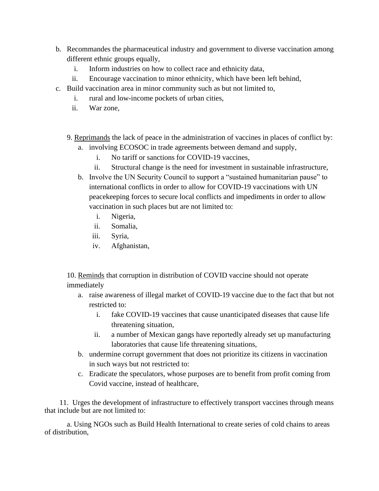- b. Recommandes the pharmaceutical industry and government to diverse vaccination among different ethnic groups equally,
	- i. Inform industries on how to collect race and ethnicity data,
	- ii. Encourage vaccination to minor ethnicity, which have been left behind,
- c. Build vaccination area in minor community such as but not limited to,
	- i. rural and low-income pockets of urban cities,
	- ii. War zone,
	- 9. Reprimands the lack of peace in the administration of vaccines in places of conflict by:
		- a. involving ECOSOC in trade agreements between demand and supply,
			- i. No tariff or sanctions for COVID-19 vaccines,
			- ii. Structural change is the need for investment in sustainable infrastructure,
		- b. Involve the UN Security Council to support a "sustained humanitarian pause" to international conflicts in order to allow for COVID-19 vaccinations with UN peacekeeping forces to secure local conflicts and impediments in order to allow vaccination in such places but are not limited to:
			- i. Nigeria,
			- ii. Somalia,
			- iii. Syria,
			- iv. Afghanistan,

10. Reminds that corruption in distribution of COVID vaccine should not operate immediately

- a. raise awareness of illegal market of COVID-19 vaccine due to the fact that but not restricted to:
	- i. fake COVID-19 vaccines that cause unanticipated diseases that cause life threatening situation,
	- ii. a number of Mexican gangs have reportedly already set up manufacturing laboratories that cause life threatening situations,
- b. undermine corrupt government that does not prioritize its citizens in vaccination in such ways but not restricted to:
- c. Eradicate the speculators, whose purposes are to benefit from profit coming from Covid vaccine, instead of healthcare,

11. Urges the development of infrastructure to effectively transport vaccines through means that include but are not limited to:

a. Using NGOs such as Build Health International to create series of cold chains to areas of distribution,